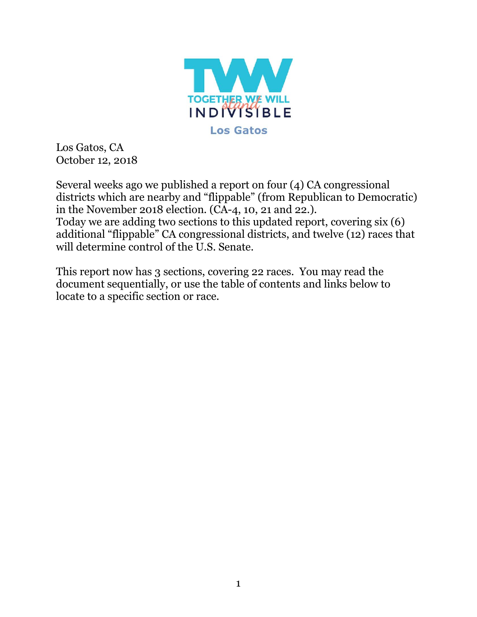

Los Gatos, CA October 12, 2018

Several weeks ago we published a report on four (4) CA congressional districts which are nearby and "flippable" (from Republican to Democratic) in the November 2018 election. (CA-4, 10, 21 and 22.). Today we are adding two sections to this updated report, covering six (6) additional "flippable" CA congressional districts, and twelve (12) races that will determine control of the U.S. Senate.

This report now has 3 sections, covering 22 races. You may read the document sequentially, or use the table of contents and links below to locate to a specific section or race.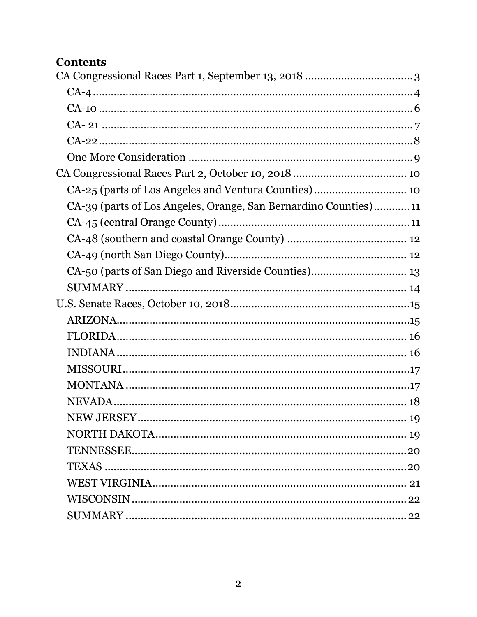# **Contents**

| CA-25 (parts of Los Angeles and Ventura Counties)  10           |
|-----------------------------------------------------------------|
| CA-39 (parts of Los Angeles, Orange, San Bernardino Counties)11 |
|                                                                 |
|                                                                 |
|                                                                 |
|                                                                 |
|                                                                 |
|                                                                 |
|                                                                 |
|                                                                 |
|                                                                 |
|                                                                 |
|                                                                 |
|                                                                 |
|                                                                 |
|                                                                 |
|                                                                 |
|                                                                 |
|                                                                 |
|                                                                 |
|                                                                 |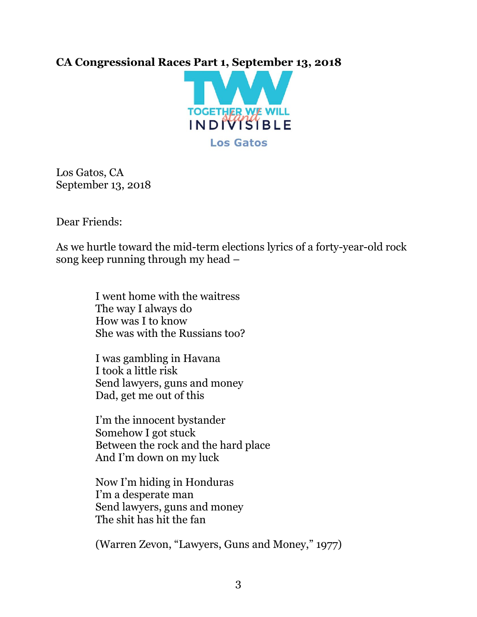### <span id="page-2-0"></span>**CA Congressional Races Part 1, September 13, 2018**



Los Gatos, CA September 13, 2018

Dear Friends:

As we hurtle toward the mid-term elections lyrics of a forty-year-old rock song keep running through my head –

> I went home with the waitress The way I always do How was I to know She was with the Russians too?

 I was gambling in Havana I took a little risk Send lawyers, guns and money Dad, get me out of this

 I'm the innocent bystander Somehow I got stuck Between the rock and the hard place And I'm down on my luck

 Now I'm hiding in Honduras I'm a desperate man Send lawyers, guns and money The shit has hit the fan

(Warren Zevon, "Lawyers, Guns and Money," 1977)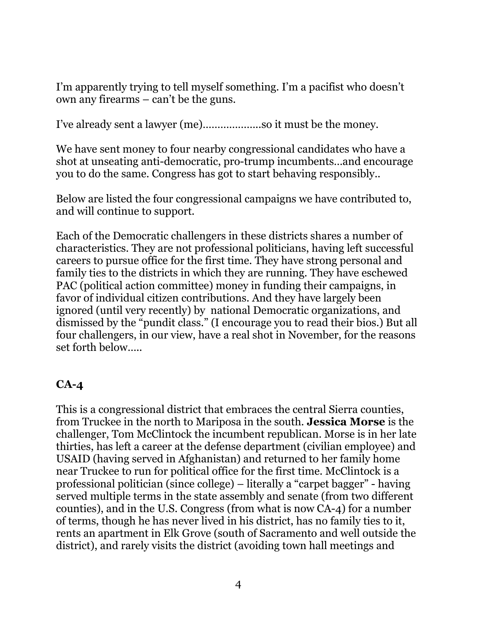I'm apparently trying to tell myself something. I'm a pacifist who doesn't own any firearms – can't be the guns.

I've already sent a lawyer (me)………………..so it must be the money.

We have sent money to four nearby congressional candidates who have a shot at unseating anti-democratic, pro-trump incumbents…and encourage you to do the same. Congress has got to start behaving responsibly..

Below are listed the four congressional campaigns we have contributed to, and will continue to support.

Each of the Democratic challengers in these districts shares a number of characteristics. They are not professional politicians, having left successful careers to pursue office for the first time. They have strong personal and family ties to the districts in which they are running. They have eschewed PAC (political action committee) money in funding their campaigns, in favor of individual citizen contributions. And they have largely been ignored (until very recently) by national Democratic organizations, and dismissed by the "pundit class." (I encourage you to read their bios.) But all four challengers, in our view, have a real shot in November, for the reasons set forth below…..

### <span id="page-3-0"></span>**CA-4**

This is a congressional district that embraces the central Sierra counties, from Truckee in the north to Mariposa in the south. **Jessica Morse** is the challenger, Tom McClintock the incumbent republican. Morse is in her late thirties, has left a career at the defense department (civilian employee) and USAID (having served in Afghanistan) and returned to her family home near Truckee to run for political office for the first time. McClintock is a professional politician (since college) – literally a "carpet bagger" - having served multiple terms in the state assembly and senate (from two different counties), and in the U.S. Congress (from what is now CA-4) for a number of terms, though he has never lived in his district, has no family ties to it, rents an apartment in Elk Grove (south of Sacramento and well outside the district), and rarely visits the district (avoiding town hall meetings and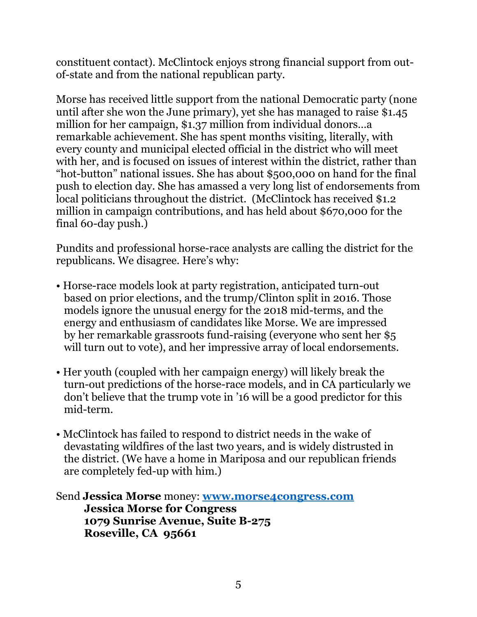constituent contact). McClintock enjoys strong financial support from outof-state and from the national republican party.

Morse has received little support from the national Democratic party (none until after she won the June primary), yet she has managed to raise \$1.45 million for her campaign, \$1.37 million from individual donors…a remarkable achievement. She has spent months visiting, literally, with every county and municipal elected official in the district who will meet with her, and is focused on issues of interest within the district, rather than "hot-button" national issues. She has about \$500,000 on hand for the final push to election day. She has amassed a very long list of endorsements from local politicians throughout the district. (McClintock has received \$1.2 million in campaign contributions, and has held about \$670,000 for the final 60-day push.)

Pundits and professional horse-race analysts are calling the district for the republicans. We disagree. Here's why:

- Horse-race models look at party registration, anticipated turn-out based on prior elections, and the trump/Clinton split in 2016. Those models ignore the unusual energy for the 2018 mid-terms, and the energy and enthusiasm of candidates like Morse. We are impressed by her remarkable grassroots fund-raising (everyone who sent her \$5 will turn out to vote), and her impressive array of local endorsements.
- Her youth (coupled with her campaign energy) will likely break the turn-out predictions of the horse-race models, and in CA particularly we don't believe that the trump vote in '16 will be a good predictor for this mid-term.
- McClintock has failed to respond to district needs in the wake of devastating wildfires of the last two years, and is widely distrusted in the district. (We have a home in Mariposa and our republican friends are completely fed-up with him.)

Send **Jessica Morse** money: **[www.morse4congress.com](http://www.morse4congress.com/) Jessica Morse for Congress 1079 Sunrise Avenue, Suite B-275 Roseville, CA 95661**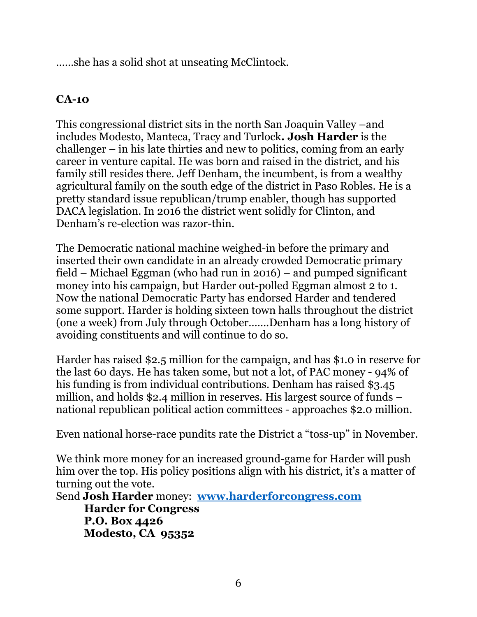……she has a solid shot at unseating McClintock.

### <span id="page-5-0"></span>**CA-10**

This congressional district sits in the north San Joaquin Valley –and includes Modesto, Manteca, Tracy and Turlock**. Josh Harder** is the challenger – in his late thirties and new to politics, coming from an early career in venture capital. He was born and raised in the district, and his family still resides there. Jeff Denham, the incumbent, is from a wealthy agricultural family on the south edge of the district in Paso Robles. He is a pretty standard issue republican/trump enabler, though has supported DACA legislation. In 2016 the district went solidly for Clinton, and Denham's re-election was razor-thin.

The Democratic national machine weighed-in before the primary and inserted their own candidate in an already crowded Democratic primary field – Michael Eggman (who had run in 2016) – and pumped significant money into his campaign, but Harder out-polled Eggman almost 2 to 1. Now the national Democratic Party has endorsed Harder and tendered some support. Harder is holding sixteen town halls throughout the district (one a week) from July through October…….Denham has a long history of avoiding constituents and will continue to do so.

Harder has raised \$2.5 million for the campaign, and has \$1.0 in reserve for the last 60 days. He has taken some, but not a lot, of PAC money - 94% of his funding is from individual contributions. Denham has raised \$3.45 million, and holds \$2.4 million in reserves. His largest source of funds – national republican political action committees - approaches \$2.0 million.

Even national horse-race pundits rate the District a "toss-up" in November.

We think more money for an increased ground-game for Harder will push him over the top. His policy positions align with his district, it's a matter of turning out the vote.

Send **Josh Harder** money: **[www.harderforcongress.com](http://www.harderforcongress.com/) Harder for Congress**

**P.O. Box 4426 Modesto, CA 95352**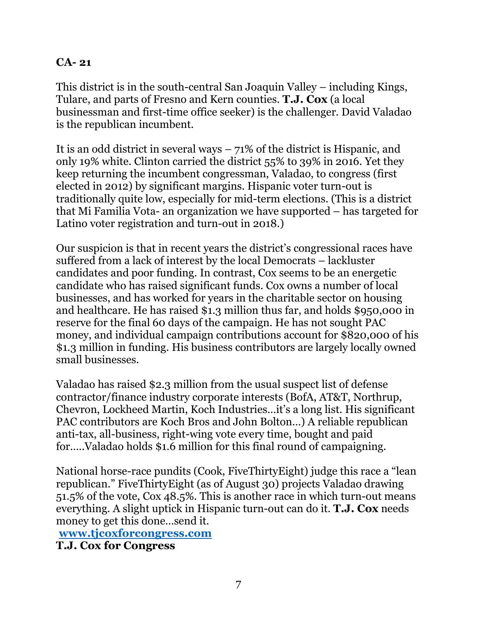#### <span id="page-6-0"></span>**CA- 21**

This district is in the south-central San Joaquin Valley – including Kings, Tulare, and parts of Fresno and Kern counties. **T.J. Cox** (a local businessman and first-time office seeker) is the challenger. David Valadao is the republican incumbent.

It is an odd district in several ways – 71% of the district is Hispanic, and only 19% white. Clinton carried the district 55% to 39% in 2016. Yet they keep returning the incumbent congressman, Valadao, to congress (first elected in 2012) by significant margins. Hispanic voter turn-out is traditionally quite low, especially for mid-term elections. (This is a district that Mi Familia Vota- an organization we have supported – has targeted for Latino voter registration and turn-out in 2018.)

Our suspicion is that in recent years the district's congressional races have suffered from a lack of interest by the local Democrats – lackluster candidates and poor funding. In contrast, Cox seems to be an energetic candidate who has raised significant funds. Cox owns a number of local businesses, and has worked for years in the charitable sector on housing and healthcare. He has raised \$1.3 million thus far, and holds \$950,000 in reserve for the final 60 days of the campaign. He has not sought PAC money, and individual campaign contributions account for \$820,000 of his \$1.3 million in funding. His business contributors are largely locally owned small businesses.

Valadao has raised \$2.3 million from the usual suspect list of defense contractor/finance industry corporate interests (BofA, AT&T, Northrup, Chevron, Lockheed Martin, Koch Industries…it's a long list. His significant PAC contributors are Koch Bros and John Bolton…) A reliable republican anti-tax, all-business, right-wing vote every time, bought and paid for…..Valadao holds \$1.6 million for this final round of campaigning.

National horse-race pundits (Cook, FiveThirtyEight) judge this race a "lean republican." FiveThirtyEight (as of August 30) projects Valadao drawing 51.5% of the vote, Cox 48.5%. This is another race in which turn-out means everything. A slight uptick in Hispanic turn-out can do it. **T.J. Cox** needs money to get this done…send it.

**[www.tjcoxforcongress.com](http://www.tjcoxforcongress.com/) T.J. Cox for Congress**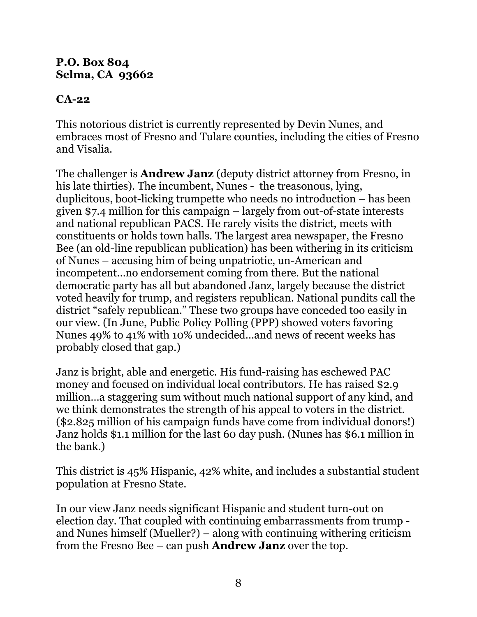#### **P.O. Box 804 Selma, CA 93662**

## <span id="page-7-0"></span>**CA-22**

This notorious district is currently represented by Devin Nunes, and embraces most of Fresno and Tulare counties, including the cities of Fresno and Visalia.

The challenger is **Andrew Janz** (deputy district attorney from Fresno, in his late thirties). The incumbent, Nunes - the treasonous, lying, duplicitous, boot-licking trumpette who needs no introduction – has been given \$7.4 million for this campaign – largely from out-of-state interests and national republican PACS. He rarely visits the district, meets with constituents or holds town halls. The largest area newspaper, the Fresno Bee (an old-line republican publication) has been withering in its criticism of Nunes – accusing him of being unpatriotic, un-American and incompetent…no endorsement coming from there. But the national democratic party has all but abandoned Janz, largely because the district voted heavily for trump, and registers republican. National pundits call the district "safely republican." These two groups have conceded too easily in our view. (In June, Public Policy Polling (PPP) showed voters favoring Nunes 49% to 41% with 10% undecided…and news of recent weeks has probably closed that gap.)

Janz is bright, able and energetic. His fund-raising has eschewed PAC money and focused on individual local contributors. He has raised \$2.9 million…a staggering sum without much national support of any kind, and we think demonstrates the strength of his appeal to voters in the district. (\$2.825 million of his campaign funds have come from individual donors!) Janz holds \$1.1 million for the last 60 day push. (Nunes has \$6.1 million in the bank.)

This district is 45% Hispanic, 42% white, and includes a substantial student population at Fresno State.

In our view Janz needs significant Hispanic and student turn-out on election day. That coupled with continuing embarrassments from trump and Nunes himself (Mueller?) – along with continuing withering criticism from the Fresno Bee – can push **Andrew Janz** over the top.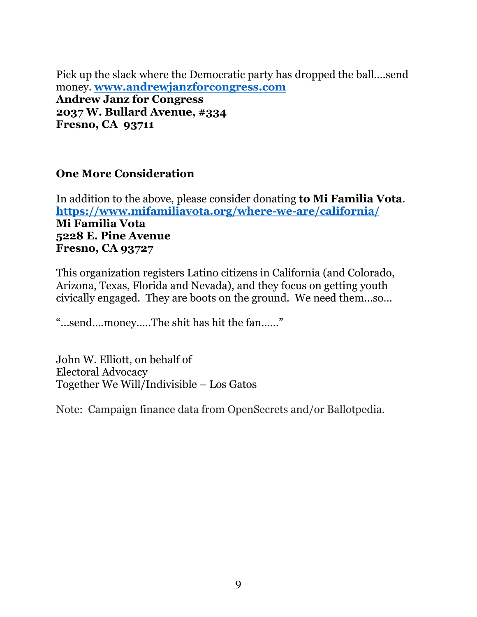Pick up the slack where the Democratic party has dropped the ball….send money. **[www.andrewjanzforcongress.com](http://www.andrewjanzforcongress.com/) Andrew Janz for Congress 2037 W. Bullard Avenue, #334 Fresno, CA 93711**

#### <span id="page-8-0"></span>**One More Consideration**

In addition to the above, please consider donating **to Mi Familia Vota**. **<https://www.mifamiliavota.org/where-we-are/california/> Mi Familia Vota 5228 E. Pine Avenue Fresno, CA 93727**

This organization registers Latino citizens in California (and Colorado, Arizona, Texas, Florida and Nevada), and they focus on getting youth civically engaged. They are boots on the ground. We need them…so…

"…send….money…..The shit has hit the fan……"

John W. Elliott, on behalf of Electoral Advocacy Together We Will/Indivisible – Los Gatos

Note: Campaign finance data from OpenSecrets and/or Ballotpedia.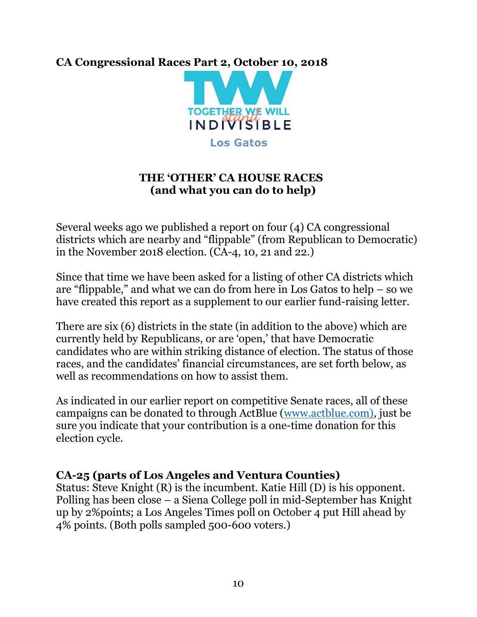### <span id="page-9-0"></span>**CA Congressional Races Part 2, October 10, 2018**



#### **THE 'OTHER' CA HOUSE RACES (and what you can do to help)**

Several weeks ago we published a report on four (4) CA congressional districts which are nearby and "flippable" (from Republican to Democratic) in the November 2018 election. (CA-4, 10, 21 and 22.)

Since that time we have been asked for a listing of other CA districts which are "flippable," and what we can do from here in Los Gatos to help – so we have created this report as a supplement to our earlier fund-raising letter.

There are six (6) districts in the state (in addition to the above) which are currently held by Republicans, or are 'open,' that have Democratic candidates who are within striking distance of election. The status of those races, and the candidates' financial circumstances, are set forth below, as well as recommendations on how to assist them.

As indicated in our earlier report on competitive Senate races, all of these campaigns can be donated to through ActBlue [\(www.actblue.com\),](http://www.actblue.com)/) just be sure you indicate that your contribution is a one-time donation for this election cycle.

### <span id="page-9-1"></span>**CA-25 (parts of Los Angeles and Ventura Counties)**

Status: Steve Knight (R) is the incumbent. Katie Hill (D) is his opponent. Polling has been close – a Siena College poll in mid-September has Knight up by 2%points; a Los Angeles Times poll on October 4 put Hill ahead by 4% points. (Both polls sampled 500-600 voters.)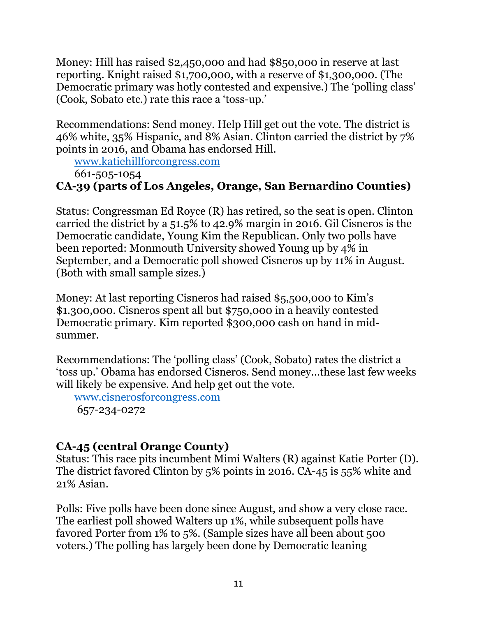Money: Hill has raised \$2,450,000 and had \$850,000 in reserve at last reporting. Knight raised \$1,700,000, with a reserve of \$1,300,000. (The Democratic primary was hotly contested and expensive.) The 'polling class' (Cook, Sobato etc.) rate this race a 'toss-up.'

Recommendations: Send money. Help Hill get out the vote. The district is 46% white, 35% Hispanic, and 8% Asian. Clinton carried the district by 7% points in 2016, and Obama has endorsed Hill.

[www.katiehillforcongress.com](http://www.katiehillforcongress.com/)

661-505-1054

### <span id="page-10-0"></span>**CA-39 (parts of Los Angeles, Orange, San Bernardino Counties)**

Status: Congressman Ed Royce (R) has retired, so the seat is open. Clinton carried the district by a 51.5% to 42.9% margin in 2016. Gil Cisneros is the Democratic candidate, Young Kim the Republican. Only two polls have been reported: Monmouth University showed Young up by 4% in September, and a Democratic poll showed Cisneros up by 11% in August. (Both with small sample sizes.)

Money: At last reporting Cisneros had raised \$5,500,000 to Kim's \$1.300,000. Cisneros spent all but \$750,000 in a heavily contested Democratic primary. Kim reported \$300,000 cash on hand in midsummer.

Recommendations: The 'polling class' (Cook, Sobato) rates the district a 'toss up.' Obama has endorsed Cisneros. Send money…these last few weeks will likely be expensive. And help get out the vote.

 [www.cisnerosforcongress.com](http://www.cisnerosforcongress.com/) 657-234-0272

# <span id="page-10-1"></span>**CA-45 (central Orange County)**

Status: This race pits incumbent Mimi Walters (R) against Katie Porter (D). The district favored Clinton by 5% points in 2016. CA-45 is 55% white and 21% Asian.

Polls: Five polls have been done since August, and show a very close race. The earliest poll showed Walters up 1%, while subsequent polls have favored Porter from 1% to 5%. (Sample sizes have all been about 500 voters.) The polling has largely been done by Democratic leaning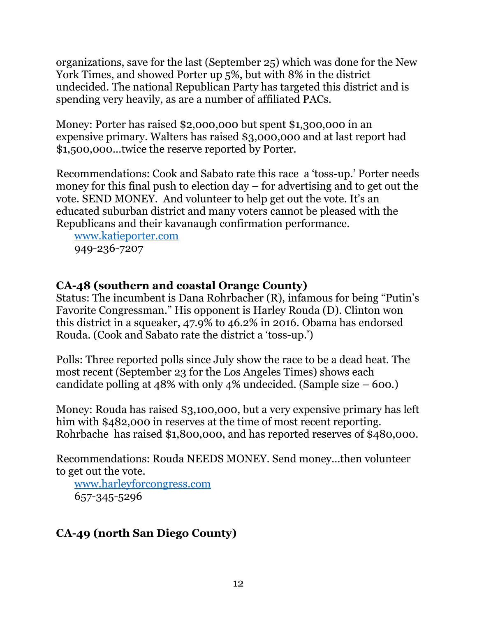organizations, save for the last (September 25) which was done for the New York Times, and showed Porter up 5%, but with 8% in the district undecided. The national Republican Party has targeted this district and is spending very heavily, as are a number of affiliated PACs.

Money: Porter has raised \$2,000,000 but spent \$1,300,000 in an expensive primary. Walters has raised \$3,000,000 and at last report had \$1,500,000…twice the reserve reported by Porter.

Recommendations: Cook and Sabato rate this race a 'toss-up.' Porter needs money for this final push to election day – for advertising and to get out the vote. SEND MONEY. And volunteer to help get out the vote. It's an educated suburban district and many voters cannot be pleased with the Republicans and their kavanaugh confirmation performance.

 [www.katieporter.com](http://www.katieporter.com/) 949-236-7207

### <span id="page-11-0"></span>**CA-48 (southern and coastal Orange County)**

Status: The incumbent is Dana Rohrbacher (R), infamous for being "Putin's Favorite Congressman." His opponent is Harley Rouda (D). Clinton won this district in a squeaker, 47.9% to 46.2% in 2016. Obama has endorsed Rouda. (Cook and Sabato rate the district a 'toss-up.')

Polls: Three reported polls since July show the race to be a dead heat. The most recent (September 23 for the Los Angeles Times) shows each candidate polling at  $48\%$  with only  $4\%$  undecided. (Sample size  $-$  600.)

Money: Rouda has raised \$3,100,000, but a very expensive primary has left him with \$482,000 in reserves at the time of most recent reporting. Rohrbache has raised \$1,800,000, and has reported reserves of \$480,000.

Recommendations: Rouda NEEDS MONEY. Send money…then volunteer to get out the vote.

 [www.harleyforcongress.com](http://www.harleyforcongress.com/) 657-345-5296

### <span id="page-11-1"></span>**CA-49 (north San Diego County)**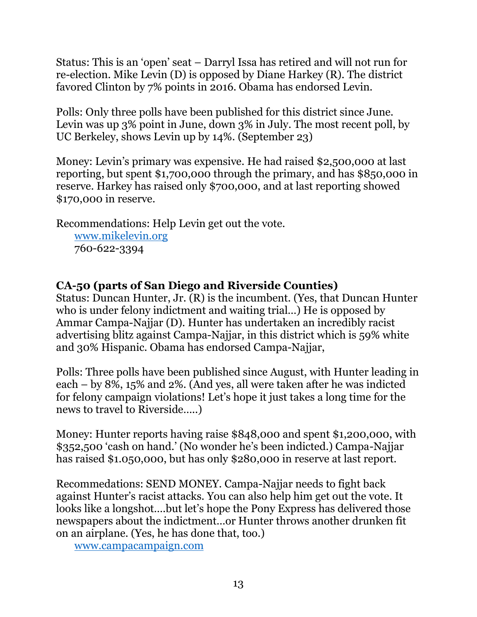Status: This is an 'open' seat – Darryl Issa has retired and will not run for re-election. Mike Levin (D) is opposed by Diane Harkey (R). The district favored Clinton by 7% points in 2016. Obama has endorsed Levin.

Polls: Only three polls have been published for this district since June. Levin was up 3% point in June, down 3% in July. The most recent poll, by UC Berkeley, shows Levin up by 14%. (September 23)

Money: Levin's primary was expensive. He had raised \$2,500,000 at last reporting, but spent \$1,700,000 through the primary, and has \$850,000 in reserve. Harkey has raised only \$700,000, and at last reporting showed \$170,000 in reserve.

Recommendations: Help Levin get out the vote.

 [www.mikelevin.org](http://www.mikelevin.org/) 760-622-3394

### <span id="page-12-0"></span>**CA-50 (parts of San Diego and Riverside Counties)**

Status: Duncan Hunter, Jr. (R) is the incumbent. (Yes, that Duncan Hunter who is under felony indictment and waiting trial…) He is opposed by Ammar Campa-Najjar (D). Hunter has undertaken an incredibly racist advertising blitz against Campa-Najjar, in this district which is 59% white and 30% Hispanic. Obama has endorsed Campa-Najjar,

Polls: Three polls have been published since August, with Hunter leading in each – by 8%, 15% and 2%. (And yes, all were taken after he was indicted for felony campaign violations! Let's hope it just takes a long time for the news to travel to Riverside…..)

Money: Hunter reports having raise \$848,000 and spent \$1,200,000, with \$352,500 'cash on hand.' (No wonder he's been indicted.) Campa-Najjar has raised \$1.050,000, but has only \$280,000 in reserve at last report.

Recommedations: SEND MONEY. Campa-Najjar needs to fight back against Hunter's racist attacks. You can also help him get out the vote. It looks like a longshot….but let's hope the Pony Express has delivered those newspapers about the indictment…or Hunter throws another drunken fit on an airplane. (Yes, he has done that, too.)

[www.campacampaign.com](http://www.campacampaign.com/)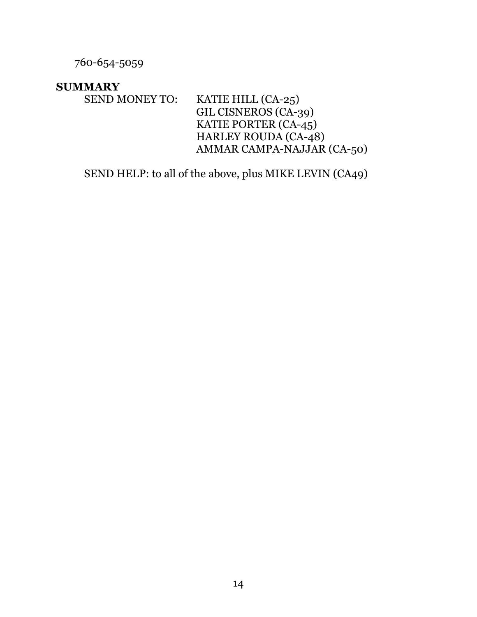760-654-5059

#### <span id="page-13-0"></span>**SUMMARY**

SEND MONEY TO: KATIE HILL (CA-25) GIL CISNEROS (CA-39) KATIE PORTER (CA-45) HARLEY ROUDA (CA-48) AMMAR CAMPA-NAJJAR (CA-50)

SEND HELP: to all of the above, plus MIKE LEVIN (CA49)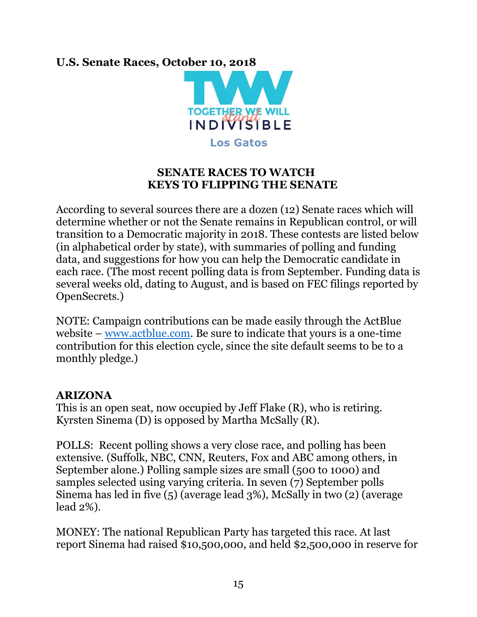#### <span id="page-14-0"></span>**U.S. Senate Races, October 10, 2018**



#### **SENATE RACES TO WATCH KEYS TO FLIPPING THE SENATE**

According to several sources there are a dozen (12) Senate races which will determine whether or not the Senate remains in Republican control, or will transition to a Democratic majority in 2018. These contests are listed below (in alphabetical order by state), with summaries of polling and funding data, and suggestions for how you can help the Democratic candidate in each race. (The most recent polling data is from September. Funding data is several weeks old, dating to August, and is based on FEC filings reported by OpenSecrets.)

NOTE: Campaign contributions can be made easily through the ActBlue website – [www.actblue.com.](http://www.actblue.com/) Be sure to indicate that yours is a one-time contribution for this election cycle, since the site default seems to be to a monthly pledge.)

### <span id="page-14-1"></span>**ARIZONA**

This is an open seat, now occupied by Jeff Flake (R), who is retiring. Kyrsten Sinema (D) is opposed by Martha McSally (R).

POLLS: Recent polling shows a very close race, and polling has been extensive. (Suffolk, NBC, CNN, Reuters, Fox and ABC among others, in September alone.) Polling sample sizes are small (500 to 1000) and samples selected using varying criteria. In seven (7) September polls Sinema has led in five (5) (average lead 3%), McSally in two (2) (average lead 2%).

MONEY: The national Republican Party has targeted this race. At last report Sinema had raised \$10,500,000, and held \$2,500,000 in reserve for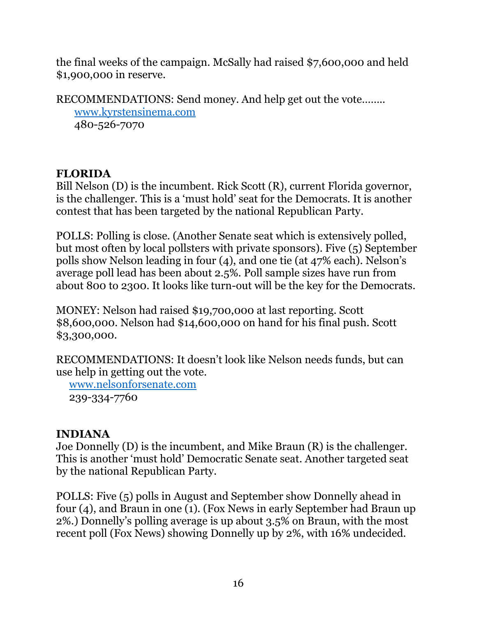the final weeks of the campaign. McSally had raised \$7,600,000 and held \$1,900,000 in reserve.

RECOMMENDATIONS: Send money. And help get out the vote…….. [www.kyrstensinema.com](http://www.kyrstensinema.com/) 480-526-7070

#### <span id="page-15-0"></span>**FLORIDA**

Bill Nelson (D) is the incumbent. Rick Scott (R), current Florida governor, is the challenger. This is a 'must hold' seat for the Democrats. It is another contest that has been targeted by the national Republican Party.

POLLS: Polling is close. (Another Senate seat which is extensively polled, but most often by local pollsters with private sponsors). Five (5) September polls show Nelson leading in four (4), and one tie (at 47% each). Nelson's average poll lead has been about 2.5%. Poll sample sizes have run from about 800 to 2300. It looks like turn-out will be the key for the Democrats.

MONEY: Nelson had raised \$19,700,000 at last reporting. Scott \$8,600,000. Nelson had \$14,600,000 on hand for his final push. Scott \$3,300,000.

RECOMMENDATIONS: It doesn't look like Nelson needs funds, but can use help in getting out the vote.

 [www.nelsonforsenate.com](http://www.nelsonforsenate.com/) 239-334-7760

### <span id="page-15-1"></span>**INDIANA**

Joe Donnelly (D) is the incumbent, and Mike Braun (R) is the challenger. This is another 'must hold' Democratic Senate seat. Another targeted seat by the national Republican Party.

POLLS: Five (5) polls in August and September show Donnelly ahead in four (4), and Braun in one (1). (Fox News in early September had Braun up 2%.) Donnelly's polling average is up about 3.5% on Braun, with the most recent poll (Fox News) showing Donnelly up by 2%, with 16% undecided.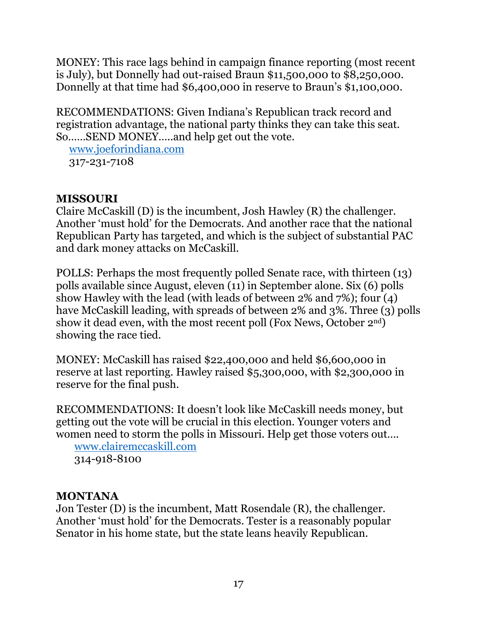MONEY: This race lags behind in campaign finance reporting (most recent is July), but Donnelly had out-raised Braun \$11,500,000 to \$8,250,000. Donnelly at that time had \$6,400,000 in reserve to Braun's \$1,100,000.

RECOMMENDATIONS: Given Indiana's Republican track record and registration advantage, the national party thinks they can take this seat. So……SEND MONEY…..and help get out the vote.

 [www.joeforindiana.com](http://www.joeforindiana.com/) 317-231-7108

### <span id="page-16-0"></span>**MISSOURI**

Claire McCaskill (D) is the incumbent, Josh Hawley (R) the challenger. Another 'must hold' for the Democrats. And another race that the national Republican Party has targeted, and which is the subject of substantial PAC and dark money attacks on McCaskill.

POLLS: Perhaps the most frequently polled Senate race, with thirteen (13) polls available since August, eleven (11) in September alone. Six (6) polls show Hawley with the lead (with leads of between 2% and 7%); four (4) have McCaskill leading, with spreads of between 2% and 3%. Three (3) polls show it dead even, with the most recent poll (Fox News, October 2nd) showing the race tied.

MONEY: McCaskill has raised \$22,400,000 and held \$6,600,000 in reserve at last reporting. Hawley raised \$5,300,000, with \$2,300,000 in reserve for the final push.

RECOMMENDATIONS: It doesn't look like McCaskill needs money, but getting out the vote will be crucial in this election. Younger voters and women need to storm the polls in Missouri. Help get those voters out....

 [www.clairemccaskill.com](http://www.clairemccaskill.com/) 314-918-8100

### <span id="page-16-1"></span>**MONTANA**

Jon Tester (D) is the incumbent, Matt Rosendale (R), the challenger. Another 'must hold' for the Democrats. Tester is a reasonably popular Senator in his home state, but the state leans heavily Republican.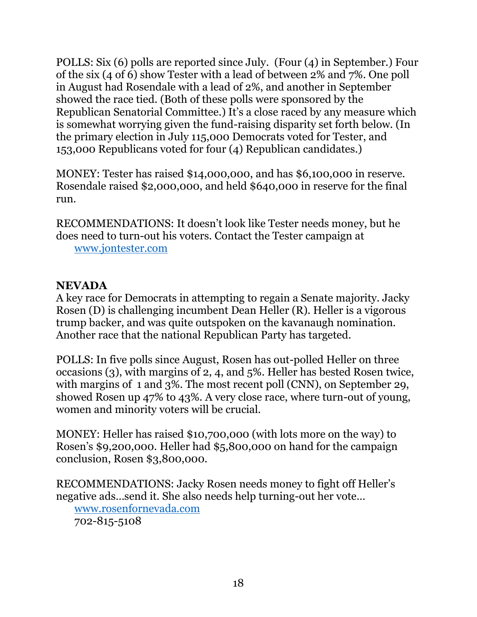POLLS: Six (6) polls are reported since July. (Four (4) in September.) Four of the six (4 of 6) show Tester with a lead of between 2% and 7%. One poll in August had Rosendale with a lead of 2%, and another in September showed the race tied. (Both of these polls were sponsored by the Republican Senatorial Committee.) It's a close raced by any measure which is somewhat worrying given the fund-raising disparity set forth below. (In the primary election in July 115,000 Democrats voted for Tester, and 153,000 Republicans voted for four (4) Republican candidates.)

MONEY: Tester has raised \$14,000,000, and has \$6,100,000 in reserve. Rosendale raised \$2,000,000, and held \$640,000 in reserve for the final run.

RECOMMENDATIONS: It doesn't look like Tester needs money, but he does need to turn-out his voters. Contact the Tester campaign at [www.jontester.com](http://www.jontester.com/)

### <span id="page-17-0"></span>**NEVADA**

A key race for Democrats in attempting to regain a Senate majority. Jacky Rosen (D) is challenging incumbent Dean Heller (R). Heller is a vigorous trump backer, and was quite outspoken on the kavanaugh nomination. Another race that the national Republican Party has targeted.

POLLS: In five polls since August, Rosen has out-polled Heller on three occasions (3), with margins of 2, 4, and 5%. Heller has bested Rosen twice, with margins of 1 and 3%. The most recent poll (CNN), on September 29, showed Rosen up 47% to 43%. A very close race, where turn-out of young, women and minority voters will be crucial.

MONEY: Heller has raised \$10,700,000 (with lots more on the way) to Rosen's \$9,200,000. Heller had \$5,800,000 on hand for the campaign conclusion, Rosen \$3,800,000.

RECOMMENDATIONS: Jacky Rosen needs money to fight off Heller's negative ads…send it. She also needs help turning-out her vote…

```
 www.rosenfornevada.com
702-815-5108
```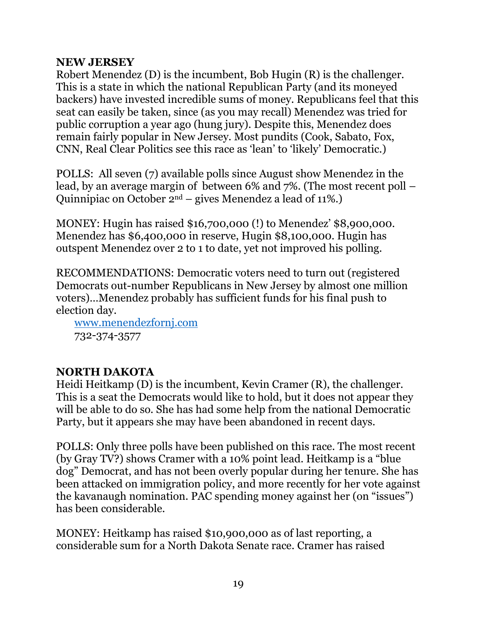#### <span id="page-18-0"></span>**NEW JERSEY**

Robert Menendez (D) is the incumbent, Bob Hugin (R) is the challenger. This is a state in which the national Republican Party (and its moneyed backers) have invested incredible sums of money. Republicans feel that this seat can easily be taken, since (as you may recall) Menendez was tried for public corruption a year ago (hung jury). Despite this, Menendez does remain fairly popular in New Jersey. Most pundits (Cook, Sabato, Fox, CNN, Real Clear Politics see this race as 'lean' to 'likely' Democratic.)

POLLS: All seven (7) available polls since August show Menendez in the lead, by an average margin of between 6% and 7%. (The most recent poll – Quinnipiac on October 2nd – gives Menendez a lead of 11%.)

MONEY: Hugin has raised \$16,700,000 (!) to Menendez' \$8,900,000. Menendez has \$6,400,000 in reserve, Hugin \$8,100,000. Hugin has outspent Menendez over 2 to 1 to date, yet not improved his polling.

RECOMMENDATIONS: Democratic voters need to turn out (registered Democrats out-number Republicans in New Jersey by almost one million voters)…Menendez probably has sufficient funds for his final push to election day.

 [www.menendezfornj.com](http://www.menendezfornj.com/) 732-374-3577

### <span id="page-18-1"></span>**NORTH DAKOTA**

Heidi Heitkamp (D) is the incumbent, Kevin Cramer (R), the challenger. This is a seat the Democrats would like to hold, but it does not appear they will be able to do so. She has had some help from the national Democratic Party, but it appears she may have been abandoned in recent days.

POLLS: Only three polls have been published on this race. The most recent (by Gray TV?) shows Cramer with a 10% point lead. Heitkamp is a "blue dog" Democrat, and has not been overly popular during her tenure. She has been attacked on immigration policy, and more recently for her vote against the kavanaugh nomination. PAC spending money against her (on "issues") has been considerable.

MONEY: Heitkamp has raised \$10,900,000 as of last reporting, a considerable sum for a North Dakota Senate race. Cramer has raised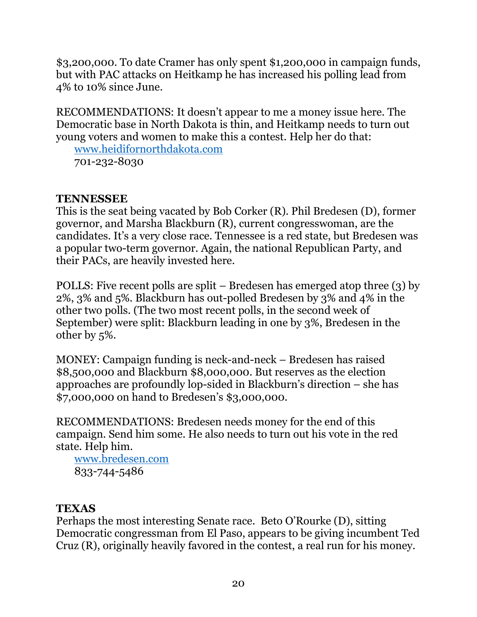\$3,200,000. To date Cramer has only spent \$1,200,000 in campaign funds, but with PAC attacks on Heitkamp he has increased his polling lead from 4% to 10% since June.

RECOMMENDATIONS: It doesn't appear to me a money issue here. The Democratic base in North Dakota is thin, and Heitkamp needs to turn out young voters and women to make this a contest. Help her do that:

 [www.heidifornorthdakota.com](http://www.heidifornorthdakota.com/) 701-232-8030

### <span id="page-19-0"></span>**TENNESSEE**

This is the seat being vacated by Bob Corker (R). Phil Bredesen (D), former governor, and Marsha Blackburn (R), current congresswoman, are the candidates. It's a very close race. Tennessee is a red state, but Bredesen was a popular two-term governor. Again, the national Republican Party, and their PACs, are heavily invested here.

POLLS: Five recent polls are split – Bredesen has emerged atop three (3) by 2%, 3% and 5%. Blackburn has out-polled Bredesen by 3% and 4% in the other two polls. (The two most recent polls, in the second week of September) were split: Blackburn leading in one by 3%, Bredesen in the other by 5%.

MONEY: Campaign funding is neck-and-neck – Bredesen has raised \$8,500,000 and Blackburn \$8,000,000. But reserves as the election approaches are profoundly lop-sided in Blackburn's direction – she has \$7,000,000 on hand to Bredesen's \$3,000,000.

RECOMMENDATIONS: Bredesen needs money for the end of this campaign. Send him some. He also needs to turn out his vote in the red state. Help him.

 [www.bredesen.com](http://www.bredesen.com/) 833-744-5486

# <span id="page-19-1"></span>**TEXAS**

Perhaps the most interesting Senate race. Beto O'Rourke (D), sitting Democratic congressman from El Paso, appears to be giving incumbent Ted Cruz (R), originally heavily favored in the contest, a real run for his money.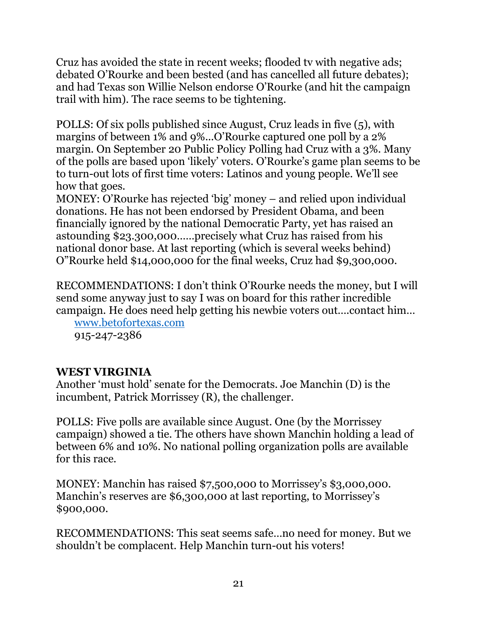Cruz has avoided the state in recent weeks; flooded tv with negative ads; debated O'Rourke and been bested (and has cancelled all future debates); and had Texas son Willie Nelson endorse O'Rourke (and hit the campaign trail with him). The race seems to be tightening.

POLLS: Of six polls published since August, Cruz leads in five (5), with margins of between 1% and 9%...O'Rourke captured one poll by a 2% margin. On September 20 Public Policy Polling had Cruz with a 3%. Many of the polls are based upon 'likely' voters. O'Rourke's game plan seems to be to turn-out lots of first time voters: Latinos and young people. We'll see how that goes.

MONEY: O'Rourke has rejected 'big' money – and relied upon individual donations. He has not been endorsed by President Obama, and been financially ignored by the national Democratic Party, yet has raised an astounding \$23.300,000……precisely what Cruz has raised from his national donor base. At last reporting (which is several weeks behind) O"Rourke held \$14,000,000 for the final weeks, Cruz had \$9,300,000.

RECOMMENDATIONS: I don't think O'Rourke needs the money, but I will send some anyway just to say I was on board for this rather incredible campaign. He does need help getting his newbie voters out….contact him…

 [www.betofortexas.com](http://www.betofortexas.com/) 915-247-2386

# <span id="page-20-0"></span>**WEST VIRGINIA**

Another 'must hold' senate for the Democrats. Joe Manchin (D) is the incumbent, Patrick Morrissey (R), the challenger.

POLLS: Five polls are available since August. One (by the Morrissey campaign) showed a tie. The others have shown Manchin holding a lead of between 6% and 10%. No national polling organization polls are available for this race.

MONEY: Manchin has raised \$7,500,000 to Morrissey's \$3,000,000. Manchin's reserves are \$6,300,000 at last reporting, to Morrissey's \$900,000.

RECOMMENDATIONS: This seat seems safe…no need for money. But we shouldn't be complacent. Help Manchin turn-out his voters!